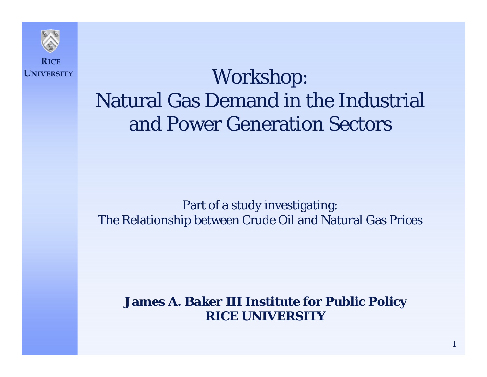

# Workshop: Natural Gas Demand in the Industrial and Power Generation Sectors

#### Part of a study investigating: The Relationship between Crude Oil and Natural Gas Prices

#### **James A. Baker III Institute for Public Policy RICE UNIVERSITY**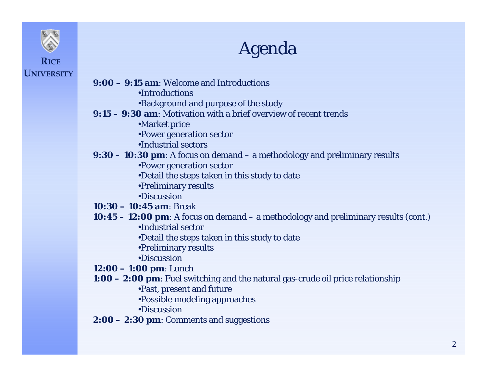

## Agenda

- **9:00 – 9:15 am**: Welcome and Introductions
	- •Introductions
	- •Background and purpose of the study
- **9:15 – 9:30 am**: Motivation with a brief overview of recent trends
	- •Market price
	- •Power generation sector
	- •Industrial sectors
- **9:30 – 10:30 pm**: A focus on demand a methodology and preliminary results
	- •Power generation sector
	- •Detail the steps taken in this study to date
	- •Preliminary results
	- •Discussion
- **10:30 – 10:45 am**: Break
- **10:45 – 12:00 pm**: A focus on demand a methodology and preliminary results (cont.)
	- •Industrial sector
	- •Detail the steps taken in this study to date
	- •Preliminary results
	- •Discussion
- **12:00 – 1:00 pm**: Lunch
- **1:00 – 2:00 pm**: Fuel switching and the natural gas-crude oil price relationship
	- •Past, present and future
	- •Possible modeling approaches
	- •Discussion
- **2:00 – 2:30 pm**: Comments and suggestions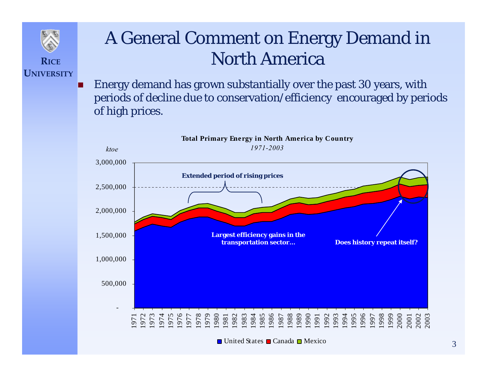

**UNIVERSITY**

#### A General Comment on Energy Demand in North America

П Energy demand has grown substantially over the past 30 years, with periods of decline due to conservation/efficiency encouraged by periods of high prices.

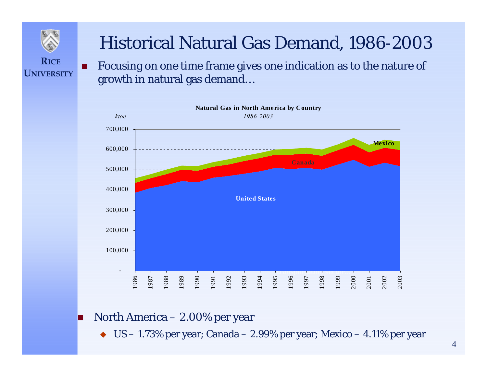

#### Historical Natural Gas Demand, 1986-2003

п Focusing on one time frame gives one indication as to the nature of growth in natural gas demand…



П North America – 2.00% per year

 $\blacklozenge$  US – 1.73% per year; Canada – 2.99% per year; Mexico – 4.11% per year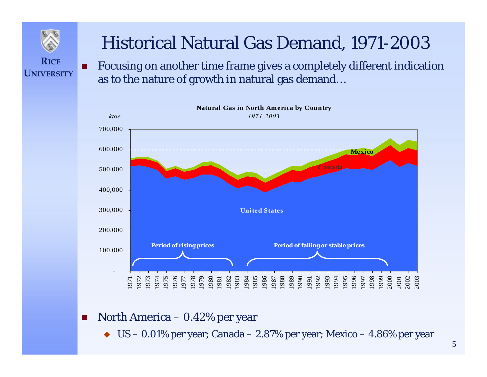

П

### Historical Natural Gas Demand, 1971-2003

 Focusing on another time frame gives a completely different indication as to the nature of growth in natural gas demand…



- **T**  North America – 0.42% per year
	- ♦ US – 0.01% per year; Canada – 2.87% per year; Mexico – 4.86% per year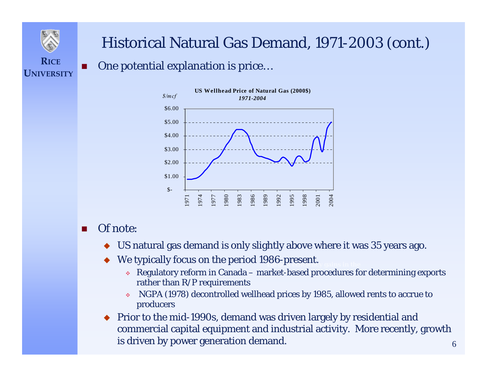

**UNIVERSITY**

#### Historical Natural Gas Demand, 1971-2003 (cont.)

#### $\blacksquare$ One potential explanation is price…



#### п Of note:

- ♦ US natural gas demand is only slightly above where it was 35 years ago.
- ◆ We typically focus on the period 1986-present. ♦
	- **Example 1 Regulatory reform in Canada market-based procedures for determining exports** rather than R/P requirements
	- $\mathcal{L}_{\mathcal{P}}$  NGPA (1978) decontrolled wellhead prices by 1985, allowed rents to accrue to producers
- ♦ Prior to the mid-1990s, demand was driven largely by residential and commercial capital equipment and industrial activity. More recently, growth is driven by power generation demand.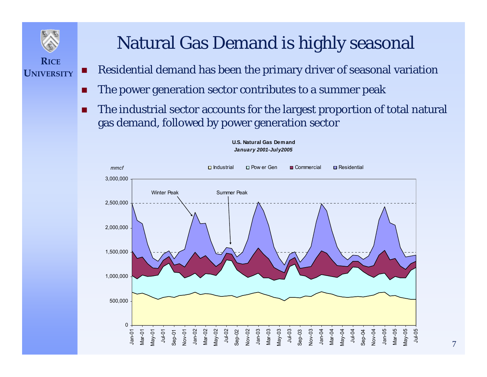

**UNIVERSITY**

## Natural Gas Demand is highly seasonal

- **The Second Second** Residential demand has been the primary driver of seasonal variation
- **The Second** The power generation sector contributes to a summer peak
- П The industrial sector accounts for the largest proportion of total natural gas demand, followed by power generation sector



#### **U.S. Natural Gas Demand** *January 2001-July2005*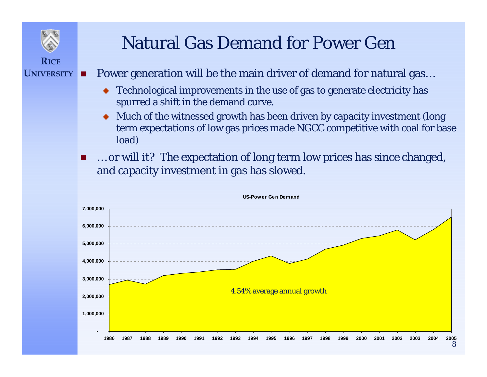

### Natural Gas Demand for Power Gen

- П Power generation will be the main driver of demand for natural gas…
	- ♦ Technological improvements in the use of gas to generate electricity has spurred a shift in the demand curve.
	- ♦ Much of the witnessed growth has been driven by capacity investment (long term expectations of low gas prices made NGCC competitive with coal for base load)
	- П … or will it? The expectation of long term low prices has since changed, and capacity investment in gas has slowed.



#### **US-Pow er Gen Dem and**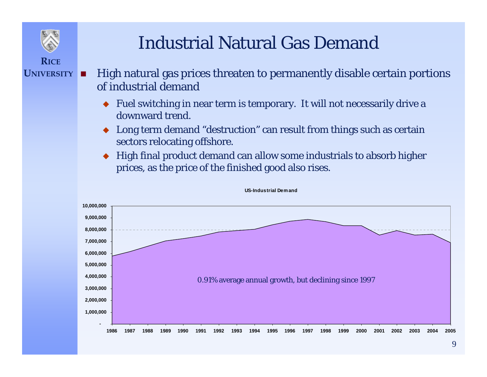

### Industrial Natural Gas Demand

- **RICEUNIVERSITY**п
	- High natural gas prices threaten to permanently disable certain portions of industrial demand
		- ♦ Fuel switching in near term is temporary. It will not necessarily drive a downward trend.
		- ♦ Long term demand "destruction" can result from things such as certain sectors relocating offshore.
		- ♦ High final product demand can allow some industrials to absorb higher prices, as the price of the finished good also rises.



#### **US-Industrial Dem and**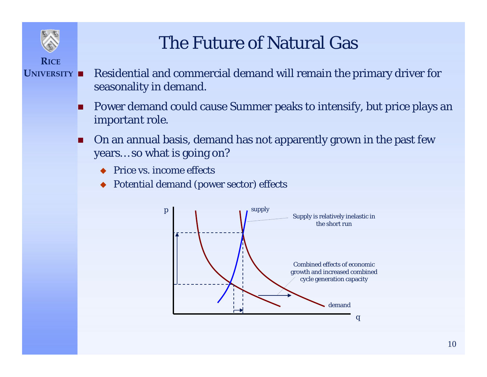

### The Future of Natural Gas

- **RICE**UNIVERSITY **N** 
	- Residential and commercial demand will remain the primary driver for seasonality in demand.
		- П Power demand could cause Summer peaks to intensify, but price plays an important role.
		- П On an annual basis, demand has not apparently grown in the past few years… so what is going on?
			- ◆ Price vs. income effects
			- ◆ *Potential* demand (power sector) effects

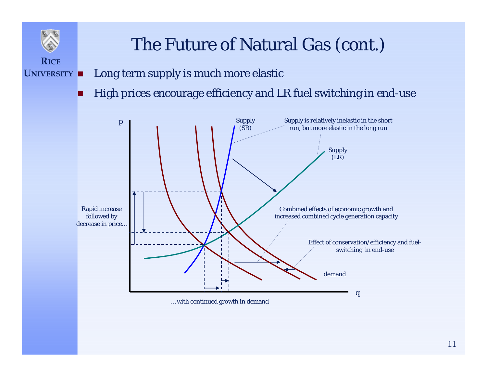### The Future of Natural Gas (cont.)

**UNIVERSITY**П Long term supply is much more elastic

**RICE**

П High prices encourage efficiency and LR fuel switching in end-use

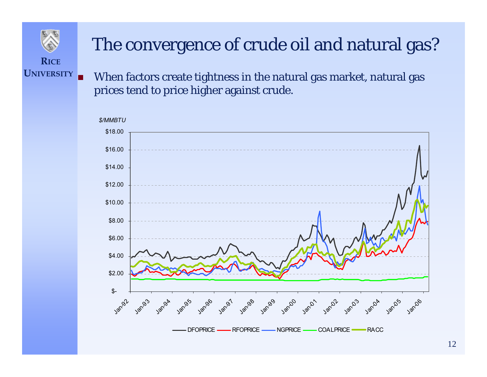

## The convergence of crude oil and natural gas?

**RICEUNIVERSITY**

Г

 When factors create tightness in the natural gas market, natural gas prices tend to price higher against crude.

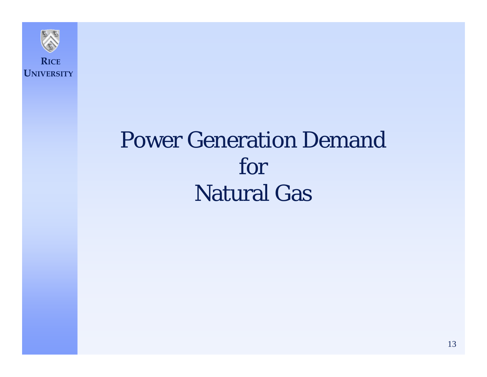

# Power Generation Demand for Natural Gas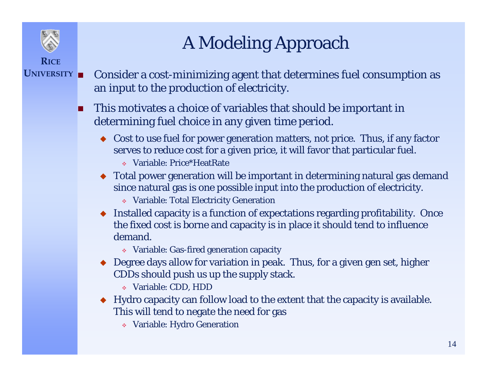

# A Modeling Approach

- **UNIVERSITY** Consider a cost-minimizing agent that determines fuel consumption as an input to the production of electricity.
	- **This motivates a choice of variables that should be important in** determining fuel choice in any given time period.
		- ◆ Cost to use fuel for power generation matters, not price. Thus, if any factor serves to reduce cost for a given price, it will favor that particular fuel.
			- Variable: Price\*HeatRate
		- Total power generation will be important in determining natural gas demand since natural gas is one possible input into the production of electricity.
			- Variable: Total Electricity Generation
		- Installed capacity is a function of expectations regarding profitability. Once the fixed cost is borne and capacity is in place it should tend to influence demand.
			- Variable: Gas-fired generation capacity
		- ◆ Degree days allow for variation in peak. Thus, for a given gen set, higher CDDs should push us up the supply stack.
			- Variable: CDD, HDD
		- Hydro capacity can follow load to the extent that the capacity is available. This will tend to negate the need for gas
			- Variable: Hydro Generation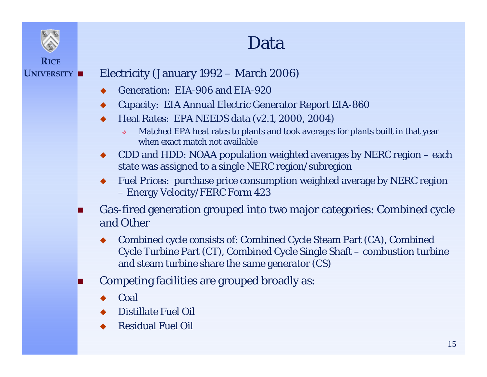

#### Data

#### **UNIVERSITY**Electricity (January 1992 – March 2006)

- ♦ Generation: EIA-906 and EIA-920
- ♦ Capacity: EIA Annual Electric Generator Report EIA-860
- ♦ Heat Rates: EPA NEEDS data (v2.1, 2000, 2004)
	- ❖ Matched EPA heat rates to plants and took averages for plants built in that year when exact match not available
- ♦ CDD and HDD: NOAA population weighted averages by NERC region – each state was assigned to a single NERC region/subregion
- ♦ Fuel Prices: purchase price consumption weighted average by NERC region – Energy Velocity/FERC Form 423
- П Gas-fired generation grouped into two major categories: Combined cycle and Other
	- ♦ Combined cycle consists of: Combined Cycle Steam Part (CA), Combined Cycle Turbine Part (CT), Combined Cycle Single Shaft – combustion turbine and steam turbine share the same generator (CS)
- П Competing facilities are grouped broadly as:
	- ♦ Coal
	- ♦ Distillate Fuel Oil
	- ◆ Residual Fuel Oil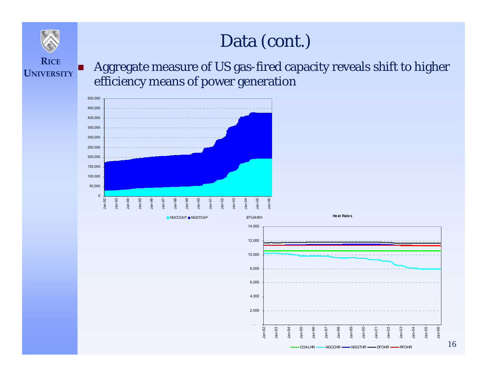#### Data (cont.)



#### **RICEUNIVERSITY**

F

 Aggregate measure of US gas-fired capacity reveals shift to higher efficiency means of power generation



NGCCCAP **■** NGGTCAP

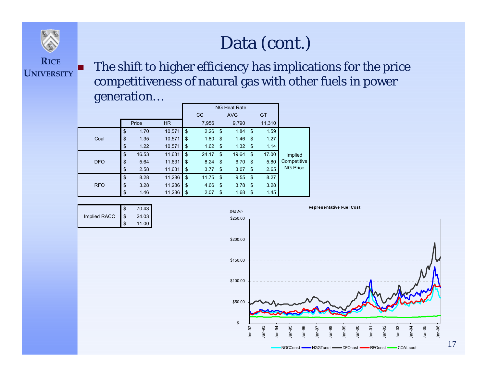

F

 The shift to higher efficiency has implications for the price competitiveness of natural gas with other fuels in power generation…

| -          |    |       |           |    | <b>NG Heat Rate</b> |            |            |               |        |                 |
|------------|----|-------|-----------|----|---------------------|------------|------------|---------------|--------|-----------------|
|            |    |       |           |    | cc                  |            | <b>AVG</b> |               | GT     |                 |
|            |    | Price | <b>HR</b> |    | 7,956               |            | 9,790      |               | 11,310 |                 |
|            | \$ | 1.70  | 10,571    | \$ | 2.26                | -\$        | 1.84       | -\$           | 1.59   |                 |
| Coal       | \$ | 1.35  | 10,571    | \$ | 1.80                | $\sqrt{3}$ | 1.46       | -\$           | 1.27   |                 |
|            | \$ | 1.22  | 10,571    | \$ | 1.62                | - \$       | 1.32       | -\$           | 1.14   |                 |
|            | \$ | 16.53 | 11,631    | \$ | 24.17               | \$         | 19.64      | \$            | 17.00  | Implied         |
| <b>DFO</b> | \$ | 5.64  | 11,631    | \$ | 8.24                | -\$        | 6.70       | - \$          | 5.80   | Competitive     |
|            | \$ | 2.58  | 11,631    | \$ | 3.77                | \$         | 3.07       | \$            | 2.65   | <b>NG Price</b> |
|            | \$ | 8.28  | 11,286    | \$ | 11.75               | -\$        | 9.55       | \$            | 8.27   |                 |
| <b>RFO</b> | \$ | 3.28  | 11,286    | \$ | 4.66                | $\sqrt{3}$ | 3.78       | -\$           | 3.28   |                 |
|            | \$ | 1.46  | 11,286    | \$ | 2.07                | \$         | 1.68       | $\frac{1}{2}$ | 1.45   |                 |

|              |                | 70.43 |
|--------------|----------------|-------|
| Implied RACC | $\mathfrak{s}$ | 24.03 |
|              |                | 11.00 |

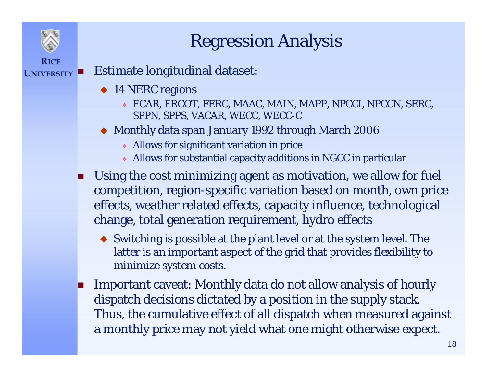## Regression Analysis

#### **RICEUNIVERSITY**Estimate longitudinal dataset:

- ◆ 14 NERC regions
	- ECAR, ERCOT, FERC, MAAC, MAIN, MAPP, NPCCI, NPCCN, SERC, SPPN, SPPS, VACAR, WECC, WECC-C
- Monthly data span January 1992 through March 2006
	- Allows for significant variation in price
	- Allows for substantial capacity additions in NGCC in particular
- П Using the cost minimizing agent as motivation, we allow for fuel competition, region-specific variation based on month, own price effects, weather related effects, capacity influence, technological change, total generation requirement, hydro effects
	- Switching is possible at the plant level or at the system level. The latter is an important aspect of the grid that provides flexibility to minimize system costs.
- **Contract**  Important caveat: Monthly data do not allow analysis of hourly dispatch decisions dictated by a position in the supply stack. Thus, the cumulative effect of all dispatch when measured against a monthly price may not yield what one might otherwise expect.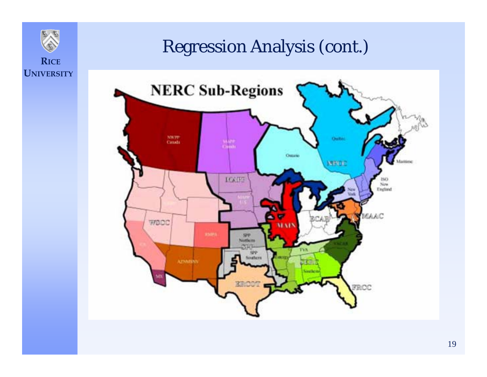

#### Regression Analysis (cont.)

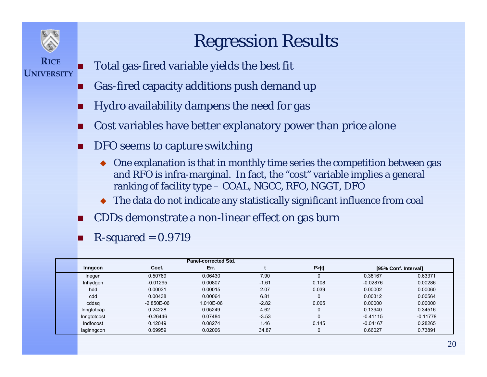

### Regression Results

- **RICEUNIVERSITY**
	- П Total gas-fired variable yields the best fit
	- П Gas-fired capacity additions push demand up
	- П Hydro availability dampens the need for gas
	- П Cost variables have better explanatory power than price alone
	- П DFO seems to capture switching
		- One explanation is that in monthly time series the competition between gas and RFO is infra-marginal. In fact, the "cost" variable implies a general ranking of facility type – COAL, NGCC, RFO, NGGT, DFO
		- The data do not indicate any statistically significant influence from coal
	- П CDDs demonstrate a non-linear effect on gas burn
	- П  $R$ -squared = 0.9719

|             |              | <b>Panel-corrected Std.</b> |         |       |            |                      |
|-------------|--------------|-----------------------------|---------|-------|------------|----------------------|
| Inngcon     | Coef.        | Err.                        |         | P> t  |            | [95% Conf. Interval] |
| Inegen      | 0.50769      | 0.06430                     | 7.90    |       | 0.38167    | 0.63371              |
| Inhydgen    | $-0.01295$   | 0.00807                     | $-1.61$ | 0.108 | $-0.02876$ | 0.00286              |
| hdd         | 0.00031      | 0.00015                     | 2.07    | 0.039 | 0.00002    | 0.00060              |
| cdd         | 0.00438      | 0.00064                     | 6.81    | 0     | 0.00312    | 0.00564              |
| cddsg       | $-2.850E-06$ | 1.010E-06                   | $-2.82$ | 0.005 | 0.00000    | 0.00000              |
| Inngtotcap  | 0.24228      | 0.05249                     | 4.62    |       | 0.13940    | 0.34516              |
| Inngtotcost | $-0.26446$   | 0.07484                     | $-3.53$ | 0     | $-0.41115$ | $-0.11778$           |
| Indfocost   | 0.12049      | 0.08274                     | 1.46    | 0.145 | $-0.04167$ | 0.28265              |
| laginngcon  | 0.69959      | 0.02006                     | 34.87   | 0     | 0.66027    | 0.73891              |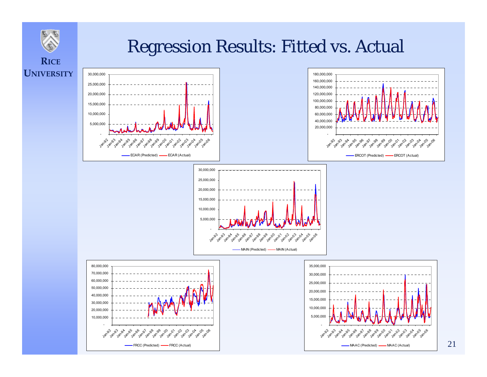

#### Regression Results: Fitted vs. Actual

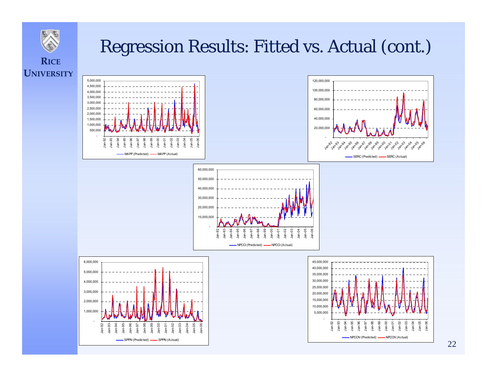

## Regression Results: Fitted vs. Actual (cont.)

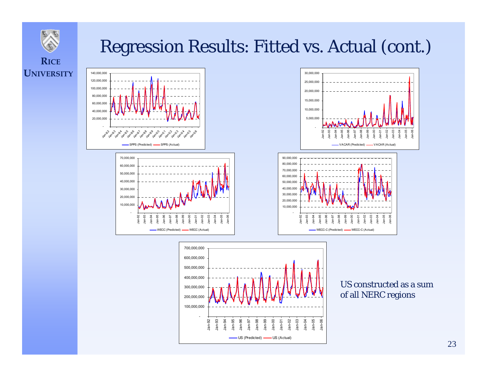

### Regression Results: Fitted vs. Actual (cont.)

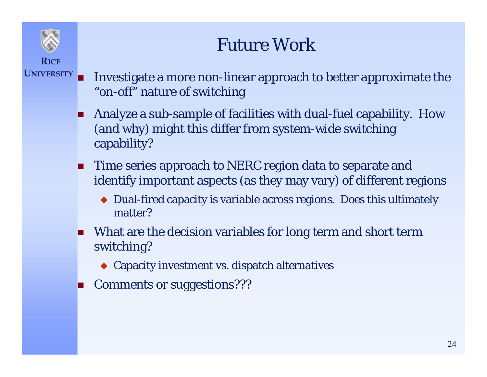## Future Work

**RICEUNIVERSITY**

- Investigate a more non-linear approach to better approximate the "on-off" nature of switching
	- . Analyze a sub-sample of facilities with dual-fuel capability. How (and why) might this differ from system-wide switching capability?
	- **Time series approach to NERC region data to separate and** identify important aspects (as they may vary) of different regions
		- Dual-fired capacity is variable across regions. Does this ultimately matter?
	- **Nhat are the decision variables for long term and short term** switching?
		- Capacity investment vs. dispatch alternatives
	- Comments or suggestions???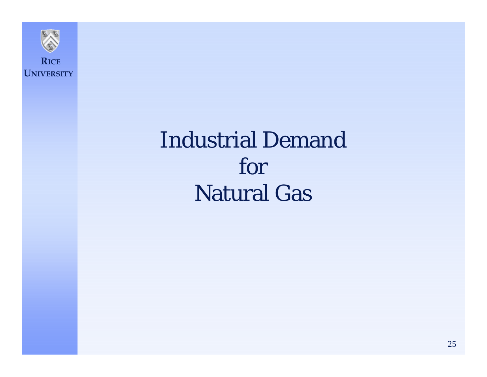

# Industrial Demand for Natural Gas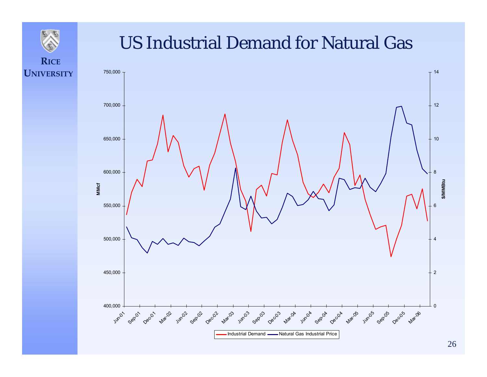

**UNIVERSITY**

# **RICE**

#### US Industrial Demand for Natural Gas

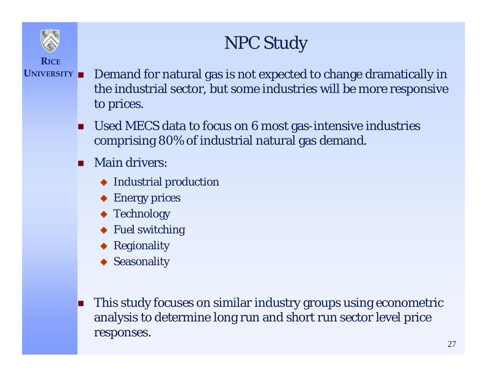## NPC Study

- **UNIVERSITY** Demand for natural gas is not expected to change dramatically in the industrial sector, but some industries will be more responsive to prices.
	- Used MECS data to focus on 6 most gas-intensive industries comprising 80% of industrial natural gas demand.
	- п Main drivers:
		- ◆ Industrial production
		- ◆ Energy prices
		- ◆ Technology
		- ◆ Fuel switching
		- ◆ Regionality
		- ◆ Seasonality
	- **Designation**  This study focuses on similar industry groups using econometric analysis to determine long run and short run sector level price responses.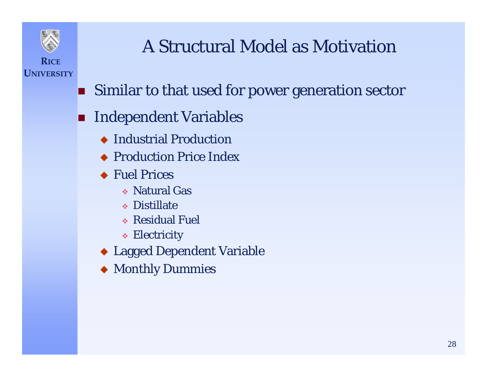

**UNIVERSITY**

## A Structural Model as Motivation

- **Similar to that used for power generation sector**
- F. Independent Variables
	- ◆ Industrial Production
	- ◆ Production Price Index
	- ◆ Fuel Prices
		- Natural Gas
		- Distillate
		- Residual Fuel
		- Electricity
	- Lagged Dependent Variable
	- Monthly Dummies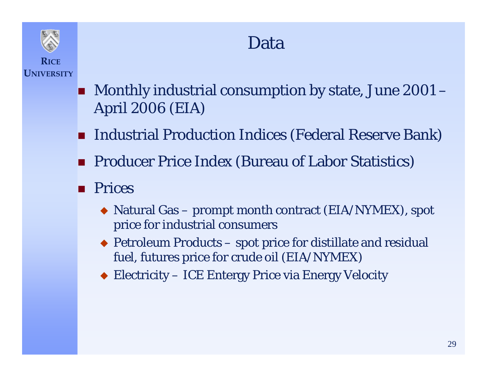

#### Data

- **RICEUNIVERSITY**
- Monthly industrial consumption by state, June 2001 April 2006 (EIA)
- F. Industrial Production Indices (Federal Reserve Bank)
- **Producer Price Index (Bureau of Labor Statistics)**
- F. Prices
	- Natural Gas prompt month contract (EIA/NYMEX), spot price for industrial consumers
	- ◆ Petroleum Products spot price for distillate and residual fuel, futures price for crude oil (EIA/NYMEX)
	- ◆ Electricity ICE Entergy Price via Energy Velocity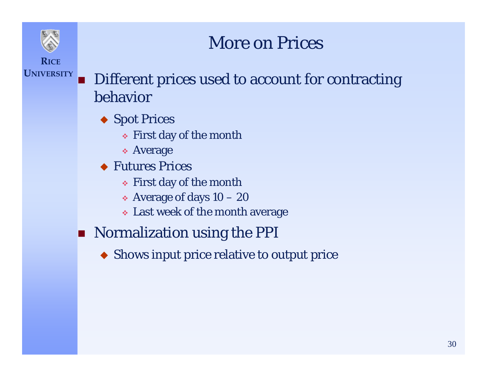#### More on Prices

**RICEUNIVERSITY**

F.

 Different prices used to account for contracting behavior

- ◆ Spot Prices
	- First day of the month
	- Average
- ◆ Futures Prices
	- First day of the month
	- $\bullet$  Average of days  $10-20$
	- Last week of the month average
- **Normalization using the PPI** 
	- Shows input price relative to output price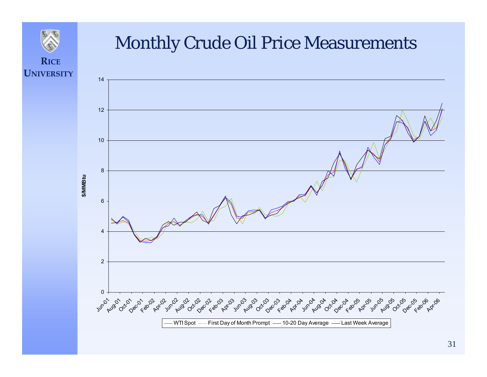

#### Monthly Crude Oil Price Measurements

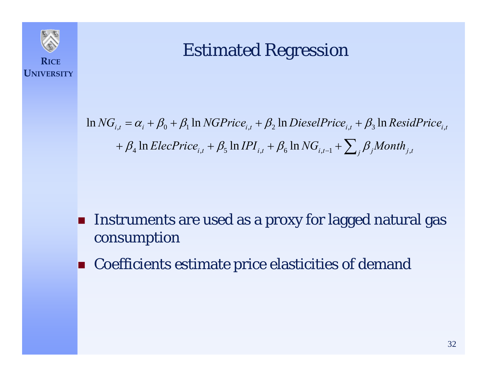

#### Estimated Regression

 $\ln NG_{i,t}^{} = \alpha_i^{} + \beta_0^{} + \beta_1^{} \ln NGPrice_{i,t}^{} + \beta_2^{} \ln DieselPrice_{i,t}^{} + \beta_3^{} \ln ResidPrice_{i,t}^{}$  $+$   $\beta_4$   $\ln$   $ElecPrice_{i,t}$   $+$   $\beta_5$   $\ln$   $IPI_{i,t}$   $+$   $\beta_6$   $\ln$   $NG_{i,t-1}$   $+$   $\sum_j \beta_j$   $Month_{j,t}$ 

- F. Instruments are used as a proxy for lagged natural gas consumption
- F. Coefficients estimate price elasticities of demand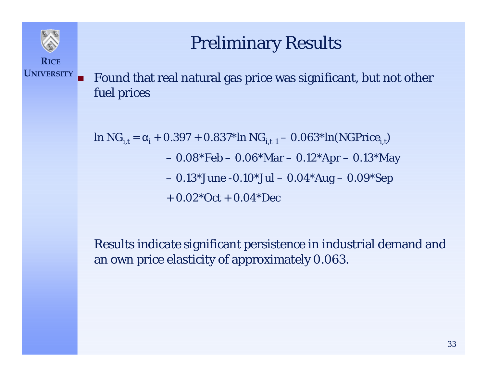#### Preliminary Results

**RICEUNIVERSITY**

F Found that real natural gas price was significant, but not other fuel prices

ln  $NG_{i,t} = \alpha_i + 0.397 + 0.837 \cdot \ln NG_{i,t-1} - 0.063 \cdot \ln (NGPrice_{i,t})$  0.08\*Feb – 0.06\*Mar – 0.12\*Apr – 0.13\*May 0.13\*June -0.10\*Jul – 0.04\*Aug – 0.09\*Sep  $+ 0.02*$ Oct  $+ 0.04*$ Dec

Results indicate significant persistence in industrial demand and an own price elasticity of approximately 0.063.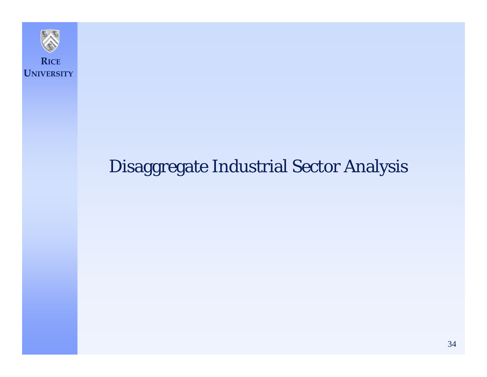

### Disaggregate Industrial Sector Analysis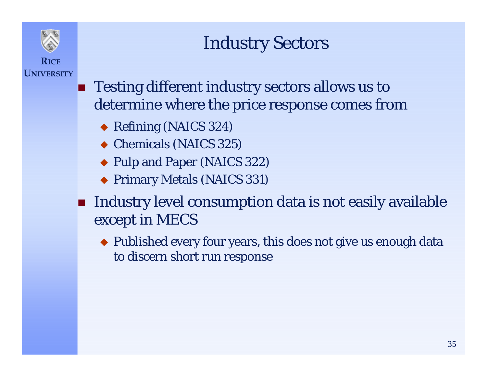### Industry Sectors

**RICEUNIVERSITY**

- **Testing different industry sectors allows us to** determine where the price response comes from
	- Refining (NAICS 324)
	- ◆ Chemicals (NAICS 325)
	- Pulp and Paper (NAICS 322)
	- Primary Metals (NAICS 331)
- $\mathbf{r}$  Industry level consumption data is not easily available except in MECS
	- Published every four years, this does not give us enough data to discern short run response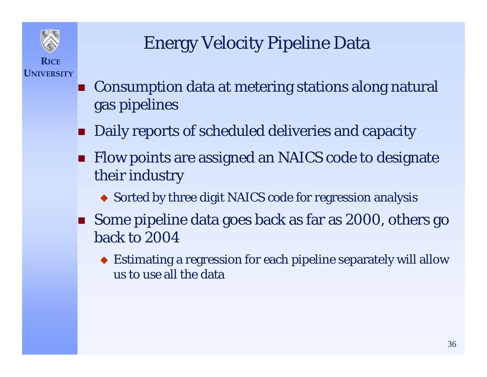

## Energy Velocity Pipeline Data

- F. Consumption data at metering stations along natural gas pipelines
- **Daily reports of scheduled deliveries and capacity**
- **Flow points are assigned an NAICS code to designate** their industry
	- Sorted by three digit NAICS code for regression analysis
- Some pipeline data goes back as far as 2000, others go back to 2004
	- Estimating a regression for each pipeline separately will allow us to use all the data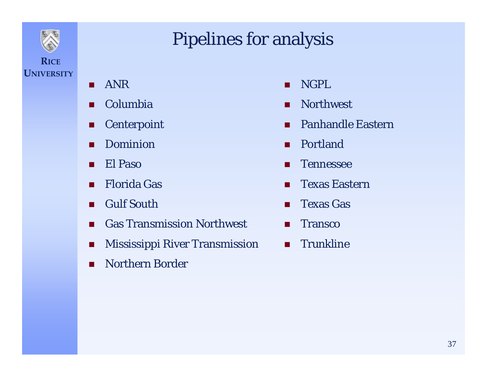

### Pipelines for analysis

- п ANR
- п Columbia
- п **Centerpoint**
- П Dominion
- П El Paso
- $\blacksquare$ Florida Gas
- п Gulf South
- $\mathbf{r}$ Gas Transmission Northwest
- **The State** Mississippi River Transmission
- $\mathcal{L}_{\mathcal{A}}$ Northern Border
- п NGPL
- $\blacksquare$ **Northwest**
- п Panhandle Eastern
- п Portland
- П Tennessee
- . Texas Eastern
- $\mathbf{r}$ Texas Gas
- $\mathbf{r}$ **Transco**
- $\mathcal{L}_{\mathcal{A}}$ **Trunkline**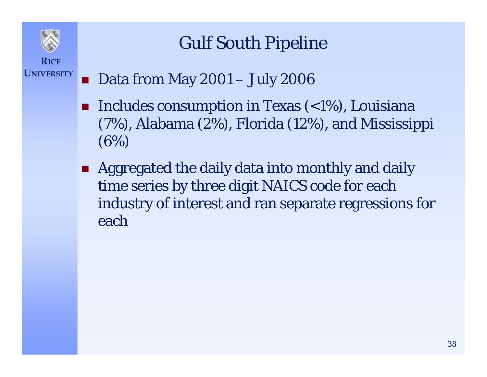

## Gulf South Pipeline

#### **UNIVERSITY**F. Data from May 2001 – July 2006

- F. Includes consumption in Texas (<1%), Louisiana (7%), Alabama (2%), Florida (12%), and Mississippi (6%)
- **Aggregated the daily data into monthly and daily** time series by three digit NAICS code for each industry of interest and ran separate regressions for each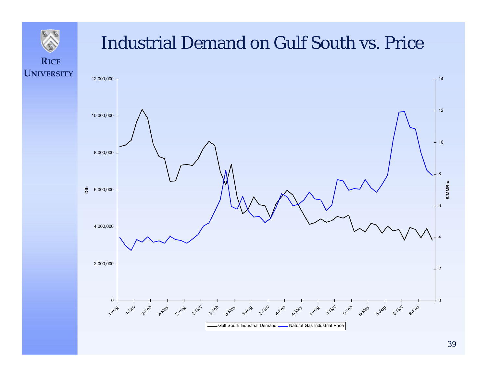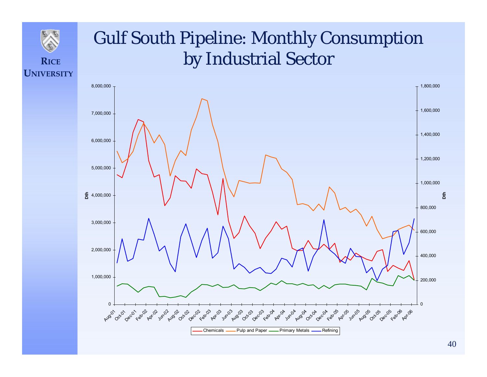#### **UNIVERSITY**Gulf South Pipeline: Monthly Consumption by Industrial Sector 01,000,000 2,000,000 3,000,000 **、名** 4,000,000 5,000,000 6,000,000 7,000,000 8,000,000  $\mu_{q_2}$  Oct-02  $\epsilon_{q_2}$   $\epsilon_{q_1}$   $\epsilon_{q_2}$   $\epsilon_{q_3}$   $\epsilon_{q_4}$   $\epsilon_{q_5}$   $\epsilon_{q_6}$   $\epsilon_{q_7}$   $\epsilon_{q_8}$   $\epsilon_{q_9}$   $\epsilon_{q_9}$   $\epsilon_{q_1}$   $\epsilon_{q_2}$   $\epsilon_{q_3}$   $\epsilon_{q_4}$   $\epsilon_{q_5}$   $\epsilon_{q_6}$   $\epsilon_{q_7}$   $\epsilon_{q_8}$   $\epsilon_{q_9}$   $\epsilon_{$ L O 200,000 400,000 600,000 800,000 1,000,000 1,200,000 1,400,000 1,600,000  $-1,800,000$ **Dth** ChemicalsPulp and Paper - Primary Metals - Refining

**RICE**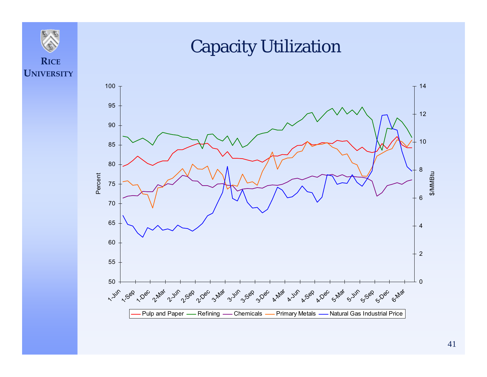

#### Capacity Utilization

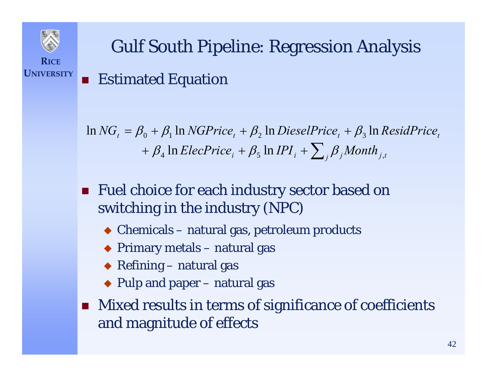

F.

# Gulf South Pipeline: Regression Analysis Estimated Equation

 $\tan{NG}_t = \beta_0 + \beta_1 \ln{NGPrice}_t + \beta_2 \ln{DieselPrice}_t + \beta_3 \ln{ResidPrice}_t$  $+$   $\beta_{\scriptscriptstyle 4}$   $\ln$   $ElecPrice_{\scriptscriptstyle i} + \beta_{\scriptscriptstyle 5}$   $\ln$  IPI  $_{\scriptscriptstyle i}$   $+$   $\sum_{\scriptscriptstyle j}$   $\beta_{\scriptscriptstyle j}$ Month  $_{\scriptscriptstyle j,t}$ 

- Fuel choice for each industry sector based on switching in the industry (NPC)
	- Chemicals natural gas, petroleum products
	- Primary metals natural gas
	- Refining natural gas
	- ◆ Pulp and paper natural gas
- **Mixed results in terms of significance of coefficients** and magnitude of effects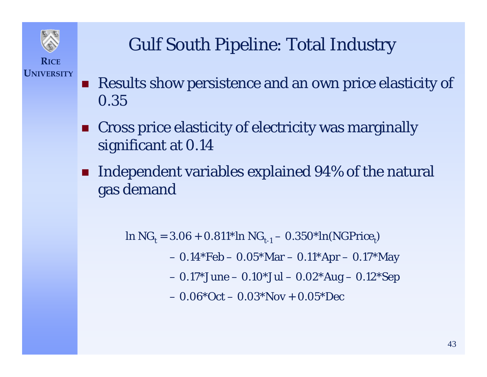

### Gulf South Pipeline: Total Industry

- F. Results show persistence and an own price elasticity of 0.35
- **EXTE: Cross price elasticity of electricity was marginally** significant at 0.14
- $\blacksquare$  Independent variables explained 94% of the natural gas demand

 $\ln NG_t = 3.06 + 0.811* \ln NG_{t-1} - 0.350* \ln(NGPrice_t)$ 

0.14\*Feb – 0.05\*Mar – 0.11\*Apr – 0.17\*May

0.17\*June – 0.10\*Jul – 0.02\*Aug – 0.12\*Sep

– 0.06\*Oct – 0.03\*Nov + 0.05\*Dec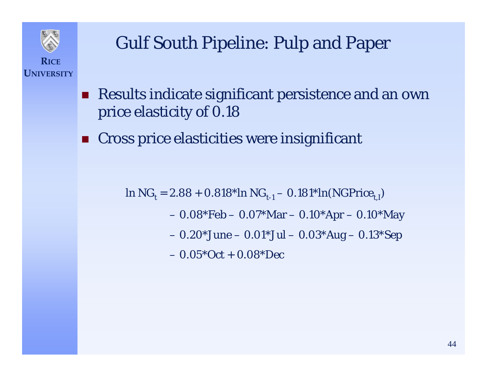

### Gulf South Pipeline: Pulp and Paper

- **Results indicate significant persistence and an own** price elasticity of 0.18
- F. Cross price elasticities were insignificant

 $\ln {\rm NG}_{\rm t}$  = 2.88 + 0.818\*ln  $\rm NG_{t\text{-}1}-0.181^*ln(\rm NGPrice_{t,I})$ 

- 0.08\*Feb 0.07\*Mar 0.10\*Apr 0.10\*May
- 0.20\*June 0.01\*Jul 0.03\*Aug 0.13\*Sep

– 0.05\*Oct + 0.08\*Dec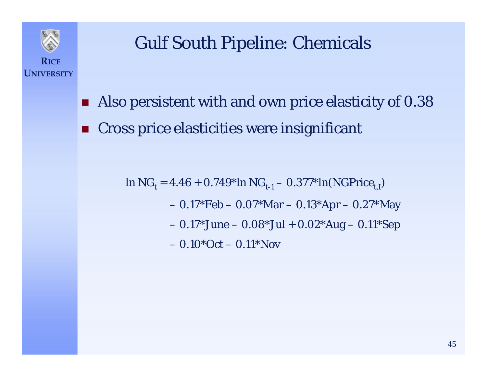

**UNIVERSITY**

### Gulf South Pipeline: Chemicals

- F. Also persistent with and own price elasticity of 0.38
- F. Cross price elasticities were insignificant

 $\ln {\rm NG}_t = 4.46 + 0.749^* \ln {\rm NG}_{t\text{-}1} - 0.377^* \ln ({\rm NGPrice}_{t,\rm I})$  0.17\*Feb – 0.07\*Mar – 0.13\*Apr – 0.27\*May 0.17\*June – 0.08\*Jul + 0.02\*Aug – 0.11\*Sep – 0.10\*Oct – 0.11\*Nov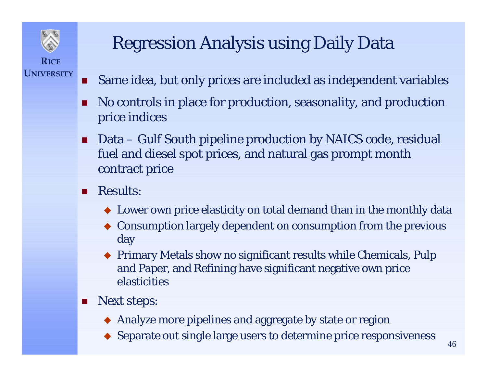

## Regression Analysis using Daily Data

- . . Same idea, but only prices are included as independent variables
- $\blacksquare$  No controls in place for production, seasonality, and production price indices
- П Data – Gulf South pipeline production by NAICS code, residual fuel and diesel spot prices, and natural gas prompt month contract price
- $\Box$  Results:
	- Lower own price elasticity on total demand than in the monthly data
	- Consumption largely dependent on consumption from the previous day
	- ♦ Primary Metals show no significant results while Chemicals, Pulp and Paper, and Refining have significant negative own price elasticities
- ш Next steps:
	- Analyze more pipelines and aggregate by state or region
	- ♦ Separate out single large users to determine price responsiveness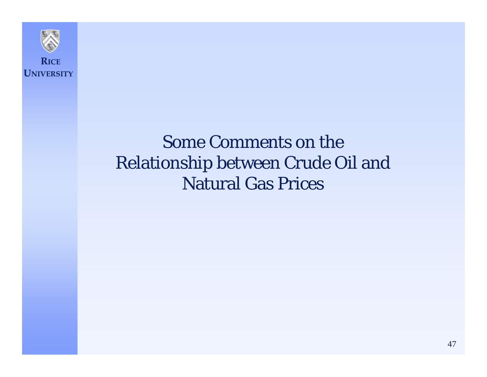

#### Some Comments on the Relationship between Crude Oil and Natural Gas Prices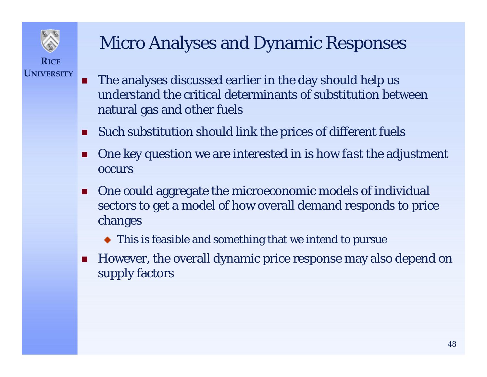

### Micro Analyses and Dynamic Responses

- П The analyses discussed earlier in the day should help us understand the critical determinants of substitution between natural gas and other fuels
- П Such substitution should link the prices of different fuels
- П One key question we are interested in is how *fast* the adjustment **occurs**
- $\mathbf{r}$  One could aggregate the microeconomic models of individual sectors to get a model of how overall demand responds to price changes
	- This is feasible and something that we intend to pursue
- $\mathcal{L}_{\mathcal{A}}$  However, the overall dynamic price response may also depend on supply factors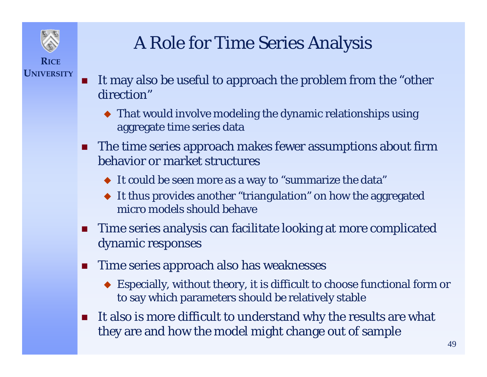

### A Role for Time Series Analysis

- П It may also be useful to approach the problem from the "other direction"
	- That would involve modeling the dynamic relationships using aggregate time series data
- The time series approach makes fewer assumptions about firm behavior or market structures
	- It could be seen more as a way to "summarize the data"
	- It thus provides another "triangulation" on how the aggregated micro models should behave
- **Time series analysis can facilitate looking at more complicated** dynamic responses
- $\mathcal{L}_{\mathcal{A}}$  Time series approach also has weaknesses
	- Especially, without theory, it is difficult to choose functional form or to say which parameters should be relatively stable
- $\mathcal{L}_{\mathcal{A}}$  It also is more difficult to understand why the results are what they are and how the model might change out of sample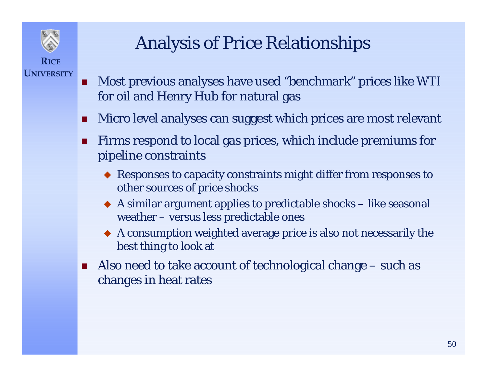

## Analysis of Price Relationships

- **T**  Most previous analyses have used "benchmark" prices like WTI for oil and Henry Hub for natural gas
- П Micro level analyses can suggest which prices are most relevant
- П Firms respond to local gas prices, which include premiums for pipeline constraints
	- Responses to capacity constraints might differ from responses to other sources of price shocks
	- ♦ A similar argument applies to predictable shocks – like seasonal weather – versus less predictable ones
	- A consumption weighted average price is also not necessarily the best thing to look at
- $\mathcal{L}^{\text{max}}$  Also need to take account of technological change – such as changes in heat rates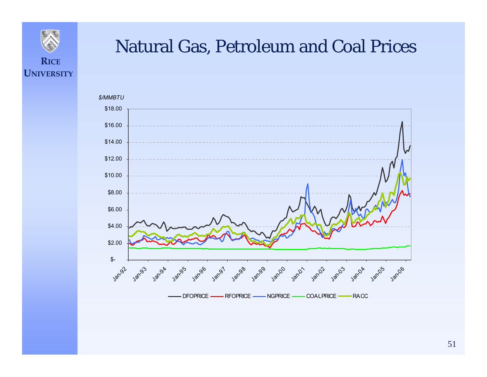

#### Natural Gas, Petroleum and Coal Prices



51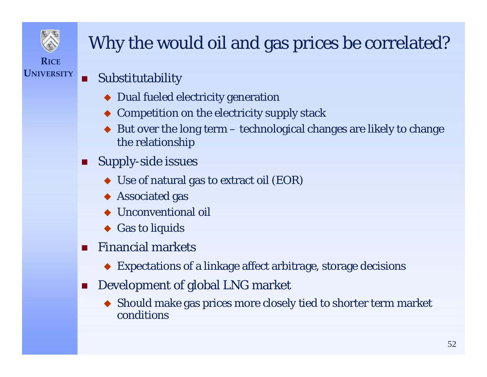

**UNIVERSITY**

## Why the would oil and gas prices be correlated?

- п Substitutability
	- ◆ Dual fueled electricity generation
	- ♦ Competition on the electricity supply stack
	- ♦ But over the long term – technological changes are likely to change the relationship
- Supply-side issues
	- $\blacklozenge$  Use of natural gas to extract oil (EOR)
	- $\blacklozenge$  Associated gas
	- ♦ Unconventional oil
	- ◆ Gas to liquids
- $\mathcal{L}_{\mathcal{A}}$  Financial markets
	- Expectations of a linkage affect arbitrage, storage decisions
- $\mathcal{L}_{\text{max}}$  Development of global LNG market
	- Should make gas prices more closely tied to shorter term market conditions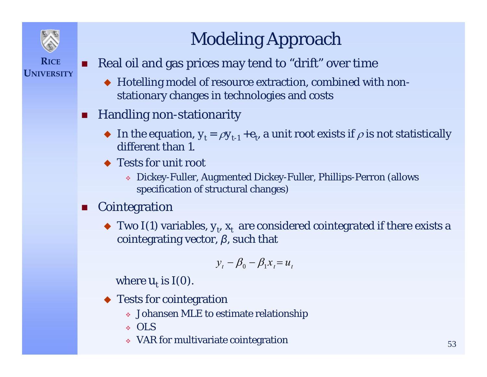

## Modeling Approach

- **RICEUNIVERSITY**
- . Real oil and gas prices may tend to "drift" over time
	- Hotelling model of resource extraction, combined with nonstationary changes in technologies and costs
- п Handling non-stationarity
	- $\blacklozenge$  In the equation,  $y_t = \rho y_{t-1} + e_t$ , a unit root exists if  $\rho$  is not statistically different than 1.
	- ◆ Tests for unit root
		- Dickey-Fuller, Augmented Dickey-Fuller, Phillips-Perron (allows specification of structural changes)
- $\mathcal{L}_{\mathcal{A}}$  Cointegration
	- $\blacklozenge$  Two I(1) variables,  $y_t$ ,  $x_t$  are considered cointegrated if there exists a cointegrating vector, *β*, such that

$$
y_t - \beta_0 - \beta_1 x_t = u_t
$$

where  $u_t$  is I(0).

- Tests for cointegration
	- Johansen MLE to estimate relationship
	- OLS
	- VAR for multivariate cointegration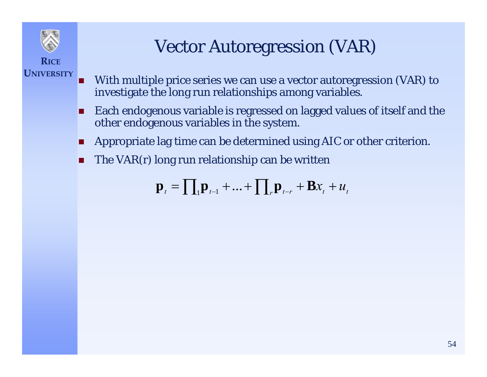

**UNIVERSITY**

## Vector Autoregression (VAR)

- П With multiple price series we can use a vector autoregression (VAR) to investigate the long run relationships among variables.
- П Each endogenous variable is regressed on lagged values of itself and the other endogenous variables in the system.
- П Appropriate lag time can be determined using AIC or other criterion.
- П The VAR(r) long run relationship can be written

$$
\mathbf{p}_{t} = \prod_{i} \mathbf{p}_{t-1} + \dots + \prod_{r} \mathbf{p}_{t-r} + \mathbf{B} x_{t} + u_{t}
$$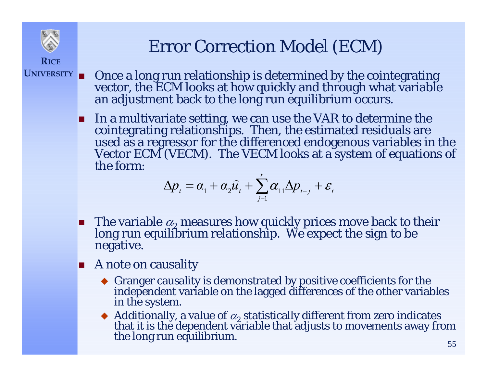

## Error Correction Model (ECM)

- **UNIVERSITY**П Once a long run relationship is determined by the cointegrating vector, the ECM looks at how quickly and through what variable an adjustment back to the long run equilibrium occurs.
	- $\blacksquare$  In a multivariate setting, we can use the VAR to determine the cointegrating relationships. Then, the estimated residuals are<br>used as a regressor for the differenced endogenous variables in the<br>Vector ECM (VECM). The VECM looks at a system of equations of<br>the form:

$$
\Delta p_t = \alpha_1 + \alpha_2 \widehat{u}_t + \sum_{j=1}^r \alpha_{11} \Delta p_{t-j} + \varepsilon_t
$$

- **The variable**  $\alpha_2$ long run equilibrium relationship. We expect the sign to be negative.
- **A** note on causality
	- Granger causality is demonstrated by positive coefficients for the independent variable on the lagged differences of the other variables in the system.
	- Additionally, a value of  $\alpha_2$  statistically different from zero indicates that it is the dependent variable that adjusts to movements away from the long run equilibrium.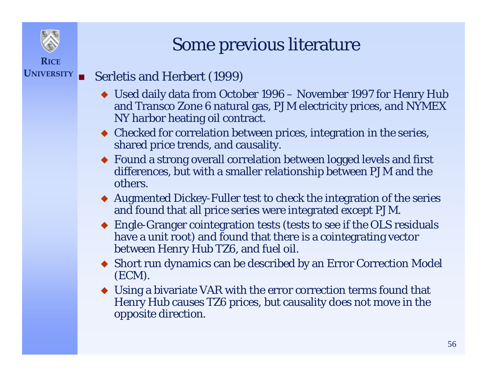

#### Some previous literature

#### **UNIVERSITY**F Serletis and Herbert (1999)

- Used daily data from October 1996 November 1997 for Henry Hub and Transco Zone 6 natural gas, PJM electricity prices, and NYMEX NY harbor heating oil contract.
- Checked for correlation between prices, integration in the series, shared price trends, and causality.
- Found a strong overall correlation between logged levels and first differences, but with a smaller relationship between PJM and the others.
- Augmented Dickey-Fuller test to check the integration of the series and found that all price series were integrated except PJM.
- Engle-Granger cointegration tests (tests to see if the OLS residuals have a unit root) and found that there is a cointegrating vector between Henry Hub TZ6, and fuel oil.
- Short run dynamics can be described by an Error Correction Model (ECM).
- Using a bivariate VAR with the error correction terms found that Henry Hub causes TZ6 prices, but causality does not move in the opposite direction.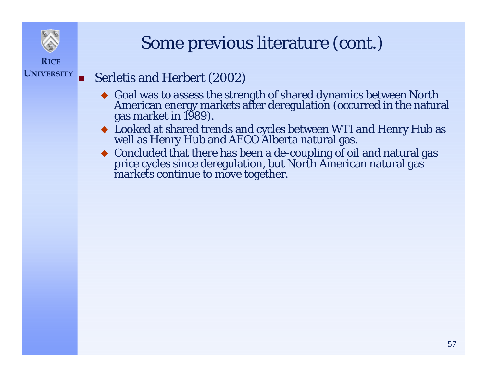

**UNIVERSITY**

#### Some previous literature (cont.)

#### F Serletis and Herbert (2002)

- $\bullet$  Goal was to assess the strength of shared dynamics between North American energy markets after deregulation (occurred in the natural gas market in 1989).
- Looked at shared trends and cycles between WTI and Henry Hub as well as Henry Hub and AECO Alberta natural gas.
- ◆ Concluded that there has been a de-coupling of oil and natural gas price cycles since deregulation, but North American natural gas markets continue to move together.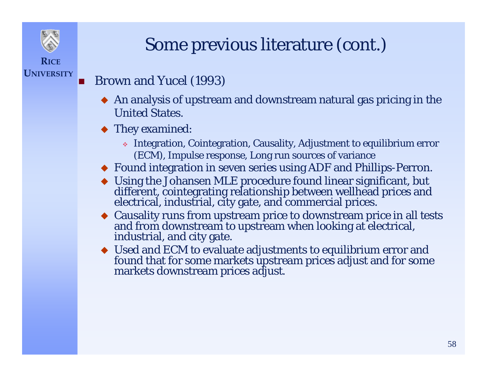

#### П Brown and Yucel (1993)

**RICE**

**UNIVERSITY**

- $\blacklozenge$  An analysis of upstream and downstream natural gas pricing in the United States.
- ◆ They examined:
	- Integration, Cointegration, Causality, Adjustment to equilibrium error (ECM), Impulse response, Long run sources of variance
- Found integration in seven series using ADF and Phillips-Perron.
- Using the Johansen MLE procedure found linear significant, but different, cointegrating relationship between wellhead prices and electrical, industrial, city gate, and commercial prices.
- Causality runs from upstream price to downstream price in all tests and from downstream to upstream when looking at electrical, industrial, and city gate.
- Used and ECM to evaluate adjustments to equilibrium error and found that for some markets upstream prices adjust and for some markets downstream prices adjust.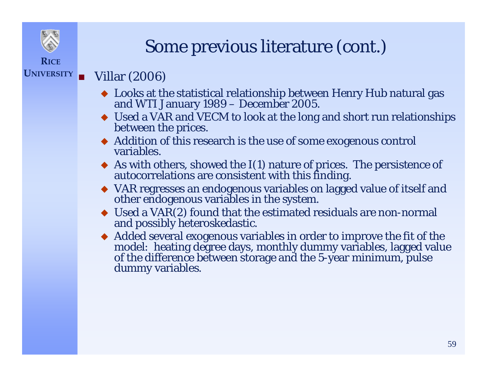

### Some previous literature (cont.)

#### **UNIVERSITY**п Villar (2006)

- Looks at the statistical relationship between Henry Hub natural gas and WTI January 1989 December 2005.
- Used a VAR and VECM to look at the long and short run relationships between the prices.
- Addition of this research is the use of some exogenous control variables.
- As with others, showed the I(1) nature of prices. The persistence of autocorrelations are consistent with this finding.
- VAR regresses an endogenous variables on lagged value of itself and other endogenous variables in the system.
- $\blacklozenge$  Used a VAR(2) found that the estimated residuals are non-normal and possibly heteroskedastic.
- Added several exogenous variables in order to improve the fit of the model: heating degree days, monthly dummy variables, lagged value of the difference between storage and the 5-year minimum, pulse dummy variables.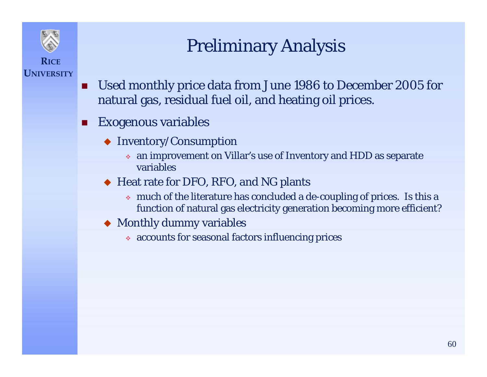

**UNIVERSITY**

## Preliminary Analysis

- B Used monthly price data from June 1986 to December 2005 for natural gas, residual fuel oil, and heating oil prices.
- П Exogenous variables
	- Inventory/Consumption
		- an improvement on Villar's use of Inventory and HDD as separate variables
	- ◆ Heat rate for DFO, RFO, and NG plants
		- much of the literature has concluded a de-coupling of prices. Is this a function of natural gas electricity generation becoming more efficient?
	- Monthly dummy variables
		- accounts for seasonal factors influencing prices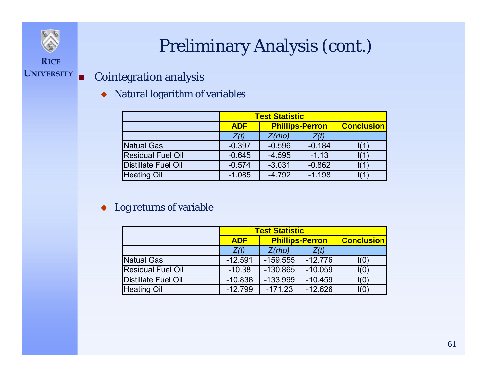## Preliminary Analysis (cont.)

#### **UNIVERSITY** П Cointegration analysis

**RICE**

Natural logarithm of variables

|                            | <b>Test Statistic</b> |                        |          |                   |
|----------------------------|-----------------------|------------------------|----------|-------------------|
|                            | <b>ADF</b>            | <b>Phillips-Perron</b> |          | <b>Conclusion</b> |
|                            | Z(t)                  | Z(rho)                 | Z(t)     |                   |
| <b>Natual Gas</b>          | $-0.397$              | $-0.596$               | $-0.184$ |                   |
| <b>Residual Fuel Oil</b>   | $-0.645$              | $-4.595$               | $-1.13$  |                   |
| <b>Distillate Fuel Oil</b> | $-0.574$              | $-3.031$               | $-0.862$ |                   |
| <b>Heating Oil</b>         | $-1.085$              | $-4.792$               | $-1.198$ |                   |

#### ◆ Log returns of variable

|                          | <b>Test Statistic</b>  |                        |           |                          |
|--------------------------|------------------------|------------------------|-----------|--------------------------|
|                          | <b>ADF</b>             | <b>Phillips-Perron</b> |           | <b>Conclusion</b>        |
|                          | Z(rho)<br>Z(t)<br>Z(t) |                        |           |                          |
| <b>Natual Gas</b>        | $-12.591$              | $-159.555$             | $-12.776$ | I(0)                     |
| <b>Residual Fuel Oil</b> | $-10.38$               | $-130.865$             | $-10.059$ | I(0)                     |
| Distillate Fuel Oil      | $-10.838$              | $-133.999$             | $-10.459$ | I(0)                     |
| <b>Heating Oil</b>       | $-12.799$              | $-171.23$              | $-12.626$ | $\mathsf{I}(\mathsf{O})$ |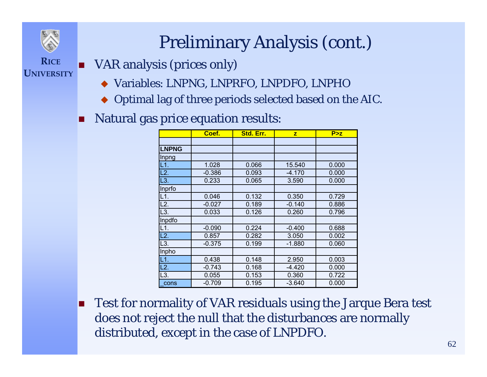

## Preliminary Analysis (cont.)

#### **RICEUNIVERSITY**VAR analysis (prices only)

- Variables: LNPNG, LNPRFO, LNPDFO, LNPHO
- Optimal lag of three periods selected based on the AIC.
- F Natural gas price equation results:

|              | Coef.    | Std. Err. | $\overline{z}$ | P > z |
|--------------|----------|-----------|----------------|-------|
|              |          |           |                |       |
| <b>LNPNG</b> |          |           |                |       |
| Inpng        |          |           |                |       |
| L1.          | 1.028    | 0.066     | 15.540         | 0.000 |
| L2.          | $-0.386$ | 0.093     | $-4.170$       | 0.000 |
| L3.          | 0.233    | 0.065     | 3.590          | 0.000 |
| Inprfo       |          |           |                |       |
| L1.          | 0.046    | 0.132     | 0.350          | 0.729 |
| L2.          | $-0.027$ | 0.189     | $-0.140$       | 0.886 |
| L3.          | 0.033    | 0.126     | 0.260          | 0.796 |
| Inpdfo       |          |           |                |       |
| L1.          | $-0.090$ | 0.224     | $-0.400$       | 0.688 |
| L2.          | 0.857    | 0.282     | 3.050          | 0.002 |
| L3.          | $-0.375$ | 0.199     | $-1.880$       | 0.060 |
| Inpho        |          |           |                |       |
| L1.          | 0.438    | 0.148     | 2.950          | 0.003 |
| L2.          | $-0.743$ | 0.168     | $-4.420$       | 0.000 |
| L3.          | 0.055    | 0.153     | 0.360          | 0.722 |
| cons         | $-0.709$ | 0.195     | $-3.640$       | 0.000 |

 $\blacksquare$  Test for normality of VAR residuals using the Jarque Bera test does not reject the null that the disturbances are normally distributed, except in the case of LNPDFO.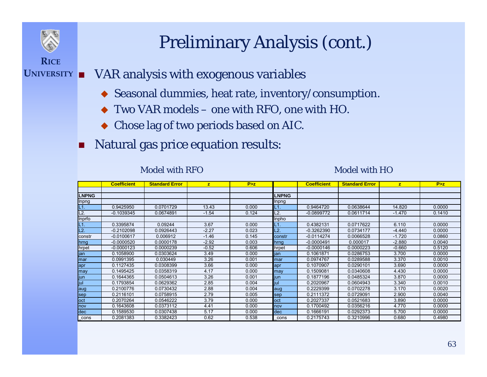

### Preliminary Analysis (cont.)

- **UNIVERSITY** VAR analysis with exogenous variables
	- Seasonal dummies, heat rate, inventory/consumption.
	- ♦ Two VAR models – one with RFO, one with HO.
	- Chose lag of two periods based on AIC.
	- П Natural gas price equation results:

#### Model with RFO

#### Model with HO

|              | <b>Coefficient</b> | <b>Standard Error</b> | $\overline{z}$ | P > z |              | <b>Coefficient</b> | <b>Standard Error</b> | z        | P > z  |
|--------------|--------------------|-----------------------|----------------|-------|--------------|--------------------|-----------------------|----------|--------|
|              |                    |                       |                |       |              |                    |                       |          |        |
| <b>LNPNG</b> |                    |                       |                |       | <b>LNPNG</b> |                    |                       |          |        |
| Inpng        |                    |                       |                |       | Inpng        |                    |                       |          |        |
| L1.          | 0.9425950          | 0.0701729             | 13.43          | 0.000 | L1.          | 0.9464720          | 0.0638644             | 14.820   | 0.0000 |
| L2           | $-0.1039345$       | 0.0674891             | $-1.54$        | 0.124 | L2.          | $-0.0899772$       | 0.0611714             | $-1.470$ | 0.1410 |
| Inprfo       |                    |                       |                |       | <b>Inpho</b> |                    |                       |          |        |
| L1.          | 0.3395874          | 0.09244               | 3.67           | 0.000 | L1.          | 0.4382131          | 0.0717622             | 6.110    | 0.0000 |
| L2           | $-0.2102098$       | 0.0926443             | $-2.27$        | 0.023 | L2.          | $-0.3262390$       | 0.0734177             | $-4.440$ | 0.0000 |
| constr       | $-0.0100617$       | 0.006912              | $-1.46$        | 0.145 | constr       | $-0.0114274$       | 0.0066528             | $-1.720$ | 0.0860 |
| hrng         | $-0.0000520$       | 0.0000178             | $-2.92$        | 0.003 | hrng         | $-0.0000491$       | 0.000017              | $-2.880$ | 0.0040 |
| hrpet        | $-0.0000123$       | 0.0000239             | $-0.52$        | 0.606 | hrpet        | $-0.0000146$       | 0.0000223             | $-0.660$ | 0.5120 |
| jan          | 0.1058900          | 0.0303624             | 3.49           | 0.000 | jan          | 0.1061871          | 0.0286753             | 3.700    | 0.0000 |
| mar          | 0.0991395          | 0.030449              | 3.26           | 0.001 | mar          | 0.0974767          | 0.0289588             | 3.370    | 0.0010 |
| apr          | 0.1127435          | 0.0308399             | 3.66           | 0.000 | apr          | 0.1070907          | 0.0290101             | 3.690    | 0.0000 |
| may          | 0.1495425          | 0.0358319             | 4.17           | 0.000 | may          | 0.1509081          | 0.0340608             | 4.430    | 0.0000 |
| jun          | 0.1644365          | 0.0504613             | 3.26           | 0.001 | jun          | 0.1877196          | 0.0485324             | 3.870    | 0.0000 |
| jul          | 0.1793854          | 0.0629362             | 2.85           | 0.004 | jul          | 0.2020967          | 0.0604943             | 3.340    | 0.0010 |
| aug          | 0.2100776          | 0.0730432             | 2.88           | 0.004 | aug          | 0.2229399          | 0.0702278             | 3.170    | 0.0020 |
| <b>Sep</b>   | 0.2116101          | 0.0758915             | 2.79           | 0.005 | sep          | 0.2111372          | 0.0729091             | 2.900    | 0.0040 |
| loct         | 0.2070264          | 0.0546222             | 3.79           | 0.000 | loct         | 0.2027337          | 0.0521683             | 3.890    | 0.0000 |
| nov          | 0.1643608          | 0.0373112             | 4.41           | 0.000 | nov          | 0.1700492          | 0.0356216             | 4.770    | 0.0000 |
| dec          | 0.1589530          | 0.0307438             | 5.17           | 0.000 | dec          | 0.1666191          | 0.0292373             | 5.700    | 0.0000 |
| $\_cons$     | 0.2081383          | 0.3382423             | 0.62           | 0.538 | cons         | 0.2175743          | 0.3210996             | 0.680    | 0.4980 |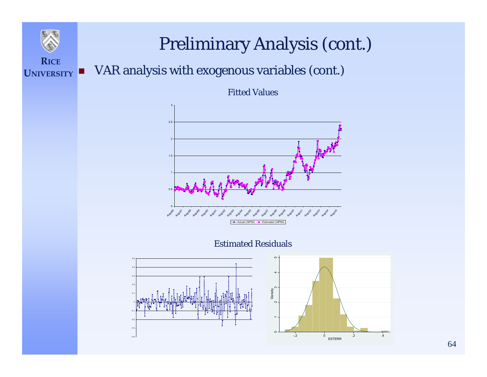#### Preliminary Analysis (cont.)

#### **RICE UNIVERSITY**F VAR analysis with exogenous variables (cont.)